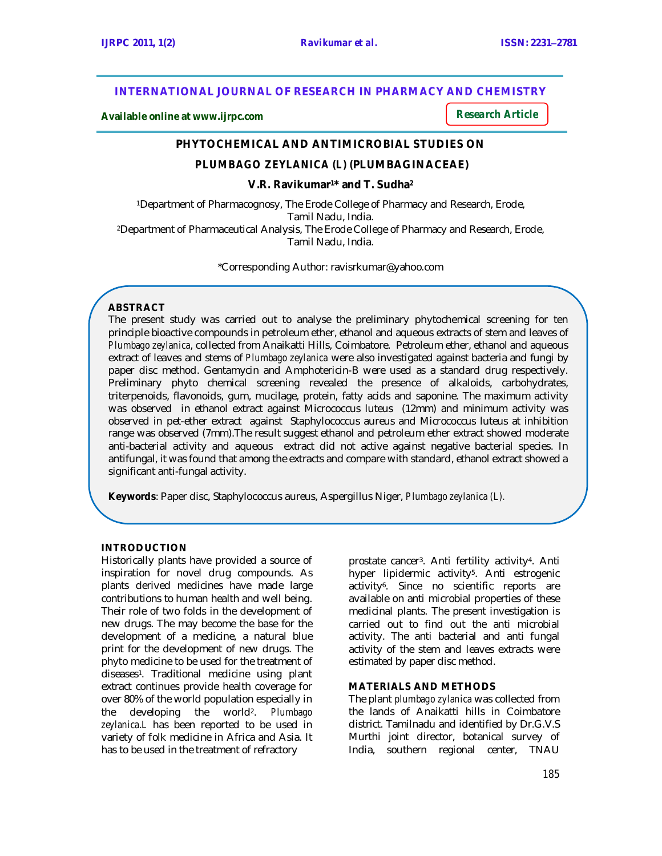## **INTERNATIONAL JOURNAL OF RESEARCH IN PHARMACY AND CHEMISTRY**

**Available online at www.ijrpc.com**

*Research Article*

## **PHYTOCHEMICAL AND ANTIMICROBIAL STUDIES ON**

## *PLUMBAGO ZEYLANICA (L) (***PLUMBAGINACEAE)**

## **V.R. Ravikumar1\* and T. Sudha<sup>2</sup>**

<sup>1</sup>Department of Pharmacognosy, The Erode College of Pharmacy and Research, Erode, Tamil Nadu, India. <sup>2</sup>Department of Pharmaceutical Analysis, The Erode College of Pharmacy and Research, Erode, Tamil Nadu, India.

\*Corresponding Author: ravisrkumar@yahoo.com

#### **ABSTRACT**

The present study was carried out to analyse the preliminary phytochemical screening for ten principle bioactive compounds in petroleum ether, ethanol and aqueous extracts of stem and leaves of *Plumbago zeylanica*, collected from Anaikatti Hills, Coimbatore. Petroleum ether, ethanol and aqueous extract of leaves and stems of *Plumbago zeylanica* were also investigated against bacteria and fungi by paper disc method. Gentamycin and Amphotericin-B were used as a standard drug respectively. Preliminary phyto chemical screening revealed the presence of alkaloids, carbohydrates, triterpenoids, flavonoids, gum, mucilage, protein, fatty acids and saponine. The maximum activity was observed in ethanol extract against Micrococcus luteus (12mm) and minimum activity was observed in pet-ether extract against Staphylococcus aureus and Micrococcus luteus at inhibition range was observed (7mm).The result suggest ethanol and petroleum ether extract showed moderate anti-bacterial activity and aqueous extract did not active against negative bacterial species. In antifungal, it was found that among the extracts and compare with standard, ethanol extract showed a significant anti-fungal activity.

**Keywords**: Paper disc, Staphylococcus aureus, Aspergillus Niger, *Plumbago zeylanica (L).*

## **INTRODUCTION**

Historically plants have provided a source of inspiration for novel drug compounds. As plants derived medicines have made large contributions to human health and well being. Their role of two folds in the development of new drugs. The may become the base for the development of a medicine, a natural blue print for the development of new drugs. The phyto medicine to be used for the treatment of diseases1. Traditional medicine using plant extract continues provide health coverage for over 80% of the world population especially in the developing the world2. *Plumbago zeylanica*.*L* has been reported to be used in variety of folk medicine in Africa and Asia. It has to be used in the treatment of refractory

prostate cancer3. Anti fertility activity4. Anti hyper lipidermic activity<sup>5</sup>. Anti estrogenic activity<sup>6</sup> . Since no scientific reports are available on anti microbial properties of these medicinal plants. The present investigation is carried out to find out the anti microbial activity. The anti bacterial and anti fungal activity of the stem and leaves extracts were estimated by paper disc method.

#### **MATERIALS AND METHODS**

The plant *plumbago zylanica* was collected from the lands of Anaikatti hills in Coimbatore district. Tamilnadu and identified by Dr.G.V.S Murthi joint director, botanical survey of India, southern regional center, TNAU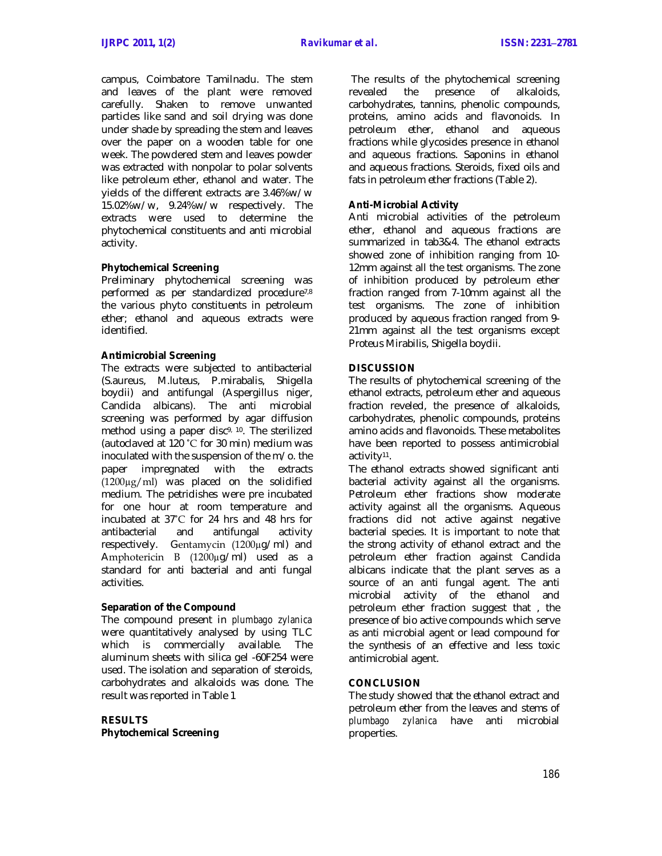campus, Coimbatore Tamilnadu. The stem and leaves of the plant were removed carefully. Shaken to remove unwanted particles like sand and soil drying was done under shade by spreading the stem and leaves over the paper on a wooden table for one week. The powdered stem and leaves powder was extracted with nonpolar to polar solvents like petroleum ether, ethanol and water. The yields of the different extracts are 3.46%w/w 15.02%w/w, 9.24%w/w respectively. The extracts were used to determine the phytochemical constituents and anti microbial activity.

## **Phytochemical Screening**

Preliminary phytochemical screening was performed as per standardized procedure7,8 the various phyto constituents in petroleum ether; ethanol and aqueous extracts were identified.

#### **Antimicrobial Screening**

The extracts were subjected to antibacterial (S.aureus, M.luteus, P.mirabalis, Shigella boydii) and antifungal (Aspergillus niger, Candida albicans). The anti microbial screening was performed by agar diffusion method using a paper disc9, 10. The sterilized (autoclaved at 120 ˚C for 30 min) medium was inoculated with the suspension of the m/o. the paper impregnated with the extracts (1200µg/ml) was placed on the solidified medium. The petridishes were pre incubated for one hour at room temperature and incubated at 37˚C for 24 hrs and 48 hrs for antibacterial and antifungal activity respectively. Gentamycin (1200µg/ml) and Amphotericin B (1200µg/ml) used as a standard for anti bacterial and anti fungal activities.

#### **Separation of the Compound**

The compound present in *plumbago zylanica*  were quantitatively analysed by using TLC which is commercially available. The aluminum sheets with silica gel -60F254 were used. The isolation and separation of steroids, carbohydrates and alkaloids was done. The result was reported in Table 1

**RESULTS Phytochemical Screening**

The results of the phytochemical screening revealed the presence of alkaloids, carbohydrates, tannins, phenolic compounds, proteins, amino acids and flavonoids. In petroleum ether, ethanol and aqueous fractions while glycosides presence in ethanol and aqueous fractions. Saponins in ethanol and aqueous fractions. Steroids, fixed oils and fats in petroleum ether fractions (Table 2).

## **Anti-Microbial Activity**

Anti microbial activities of the petroleum ether, ethanol and aqueous fractions are summarized in tab3&4. The ethanol extracts showed zone of inhibition ranging from 10- 12mm against all the test organisms. The zone of inhibition produced by petroleum ether fraction ranged from 7-10mm against all the test organisms. The zone of inhibition produced by aqueous fraction ranged from 9- 21mm against all the test organisms except Proteus Mirabilis, Shigella boydii.

## **DISCUSSION**

The results of phytochemical screening of the ethanol extracts, petroleum ether and aqueous fraction reveled, the presence of alkaloids, carbohydrates, phenolic compounds, proteins amino acids and flavonoids. These metabolites have been reported to possess antimicrobial activity<sup>11</sup>.

The ethanol extracts showed significant anti bacterial activity against all the organisms. Petroleum ether fractions show moderate activity against all the organisms. Aqueous fractions did not active against negative bacterial species. It is important to note that the strong activity of ethanol extract and the petroleum ether fraction against Candida albicans indicate that the plant serves as a source of an anti fungal agent. The anti microbial activity of the ethanol and petroleum ether fraction suggest that , the presence of bio active compounds which serve as anti microbial agent or lead compound for the synthesis of an effective and less toxic antimicrobial agent.

#### **CONCLUSION**

The study showed that the ethanol extract and petroleum ether from the leaves and stems of *plumbago zylanica* have anti microbial properties.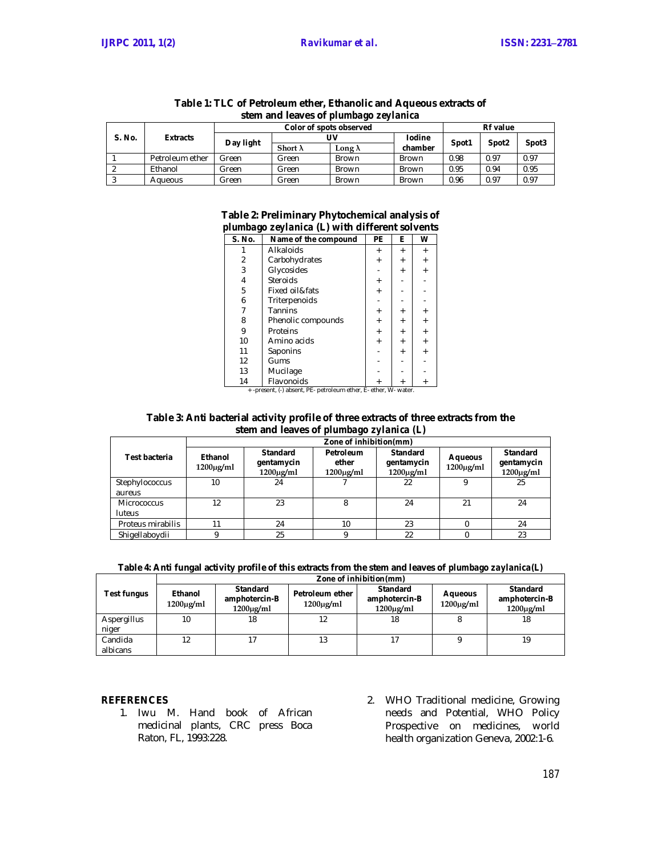| stem and leaves of plumbago zeylanica |                 |                         |                 |              |               |                 |                   |                   |
|---------------------------------------|-----------------|-------------------------|-----------------|--------------|---------------|-----------------|-------------------|-------------------|
| S. No.                                | <b>Extracts</b> | Color of spots observed |                 |              |               | <b>Rf</b> value |                   |                   |
|                                       |                 | Day light               | UV              |              | <b>Iodine</b> | Spot1           |                   | Spot <sub>3</sub> |
|                                       |                 |                         | Short $\lambda$ | Longλ        | chamber       |                 | Spot <sub>2</sub> |                   |
|                                       | Petroleum ether | Green                   | Green           | <b>Brown</b> | <b>Brown</b>  | 0.98            | 0.97              | 0.97              |
|                                       | Ethanol         | Green                   | Green           | <b>Brown</b> | <b>Brown</b>  | 0.95            | 0.94              | 0.95              |
|                                       | Agueous         | Green                   | Green           | <b>Brown</b> | <b>Brown</b>  | 0.96            | 0.97              | 0.97              |

# **Table 1: TLC of Petroleum ether, Ethanolic and Aqueous extracts of**

## **Table 2: Preliminary Phytochemical analysis of**  *plumbago zeylanica* **(L) with different solvents**

| S. No. | Name of the compound | <b>PE</b> | Е         | W |
|--------|----------------------|-----------|-----------|---|
|        | Alkaloids            | $\ddot{}$ | $\ddot{}$ |   |
| 2      | Carbohydrates        |           |           |   |
| 3      | Glycosides           |           | $\ddot{}$ |   |
| 4      | Steroids             |           |           |   |
| 5      | Fixed oil&fats       | $\ddot{}$ |           |   |
| 6      | Triterpenoids        |           |           |   |
|        | Tannins              | $\ddot{}$ | $\ddot{}$ |   |
| 8      | Phenolic compounds   |           | $\ddot{}$ |   |
| 9      | Proteins             |           | $\ddot{}$ |   |
| 10     | Amino acids          | $\ddot{}$ | $\ddot{}$ |   |
| 11     | Saponins             |           | $\ddot{}$ |   |
| 12     | Gums                 |           |           |   |
| 13     | Mucilage             |           |           |   |
| 14     | Flavonoids           |           |           |   |

 $\begin{array}{c|c|c|c} \text{Flavonoids} & + & + \\ \text{-present, (-) absent, PE- pertoleum ether, E- ether, W- water.} \end{array}$ 

#### **Table 3: Anti bacterial activity profile of three extracts of three extracts from the stem and leaves of** *plumbago zylanica (L)*

|                   | Zone of inhibition(mm)     |                                                 |                                      |                                                       |                                  |                                                 |  |
|-------------------|----------------------------|-------------------------------------------------|--------------------------------------|-------------------------------------------------------|----------------------------------|-------------------------------------------------|--|
| Test bacteria     | Ethanol<br>$1200 \mu g/ml$ | <b>Standard</b><br>gentamycin<br>$1200\mu g/ml$ | Petroleum<br>ether<br>$1200\mu g/ml$ | <b>Standard</b><br>gentamycin<br>$1200\mu\text{g/ml}$ | <b>Aqueous</b><br>$1200\mu g/ml$ | <b>Standard</b><br>gentamycin<br>$1200\mu g/ml$ |  |
| Stephylococcus    | 10 <sup>°</sup>            | 24                                              |                                      | 22                                                    |                                  | 25                                              |  |
| aureus            |                            |                                                 |                                      |                                                       |                                  |                                                 |  |
| Micrococcus       | 12                         | 23                                              | 8                                    | 24                                                    | 21                               | 24                                              |  |
| <b>luteus</b>     |                            |                                                 |                                      |                                                       |                                  |                                                 |  |
| Proteus mirabilis | 11                         | 24                                              | 10                                   | 23                                                    |                                  | 24                                              |  |
| Shigellaboydii    |                            | 25                                              |                                      | 22                                                    |                                  | 23                                              |  |

## **Table 4: Anti fungal activity profile of this extracts from the stem and leaves of** *plumbago zaylanica(L)*

|                      | Zone of inhibition(mm)     |                                                     |                                   |                                                    |                                  |                                                    |  |  |
|----------------------|----------------------------|-----------------------------------------------------|-----------------------------------|----------------------------------------------------|----------------------------------|----------------------------------------------------|--|--|
| Test fungus          | Ethanol<br>$1200 \mu g/ml$ | <b>Standard</b><br>amphotercin-B<br>$1200 \mu g/ml$ | Petroleum ether<br>$1200\mu g/ml$ | <b>Standard</b><br>amphotercin-B<br>$1200\mu g/ml$ | <b>Aqueous</b><br>$1200\mu g/ml$ | <b>Standard</b><br>amphotercin-B<br>$1200\mu g/ml$ |  |  |
| Aspergillus<br>niger | 10                         | 18                                                  | 12                                | 18                                                 |                                  | 18                                                 |  |  |
| Candida<br>albicans  | 12                         |                                                     | 13                                |                                                    |                                  | 19                                                 |  |  |

#### **REFERENCES**

- 1. Iwu M. Hand book of African medicinal plants, CRC press Boca Raton, FL, 1993:228.
- 2. WHO Traditional medicine, Growing needs and Potential, WHO Policy Prospective on medicines, world health organization Geneva, 2002:1-6.